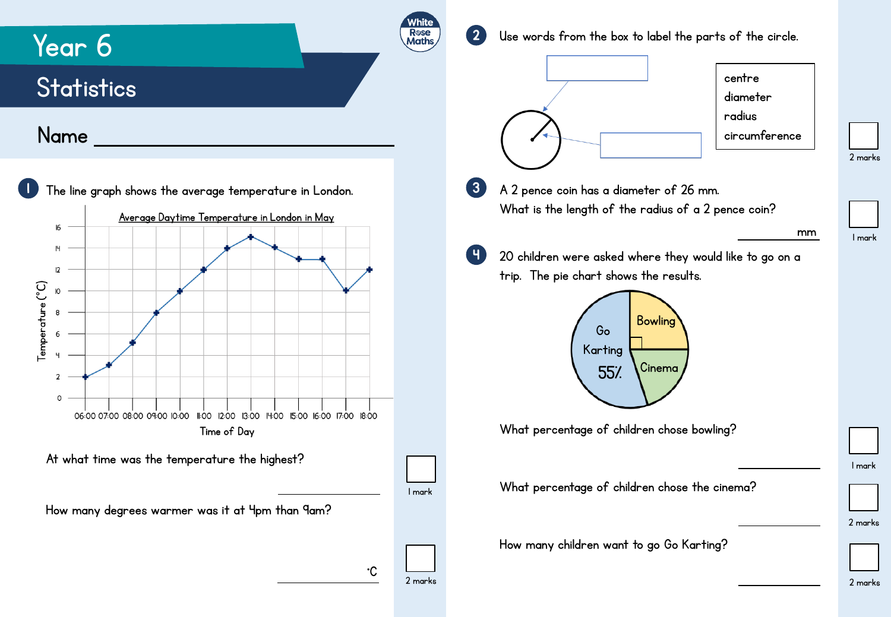

2 marks

2 marks

1 mark

2 marks

1 mark